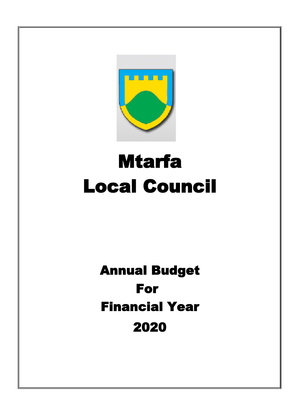

# Mtarfa Local Council

## For 2020 Financial Year Annual Budget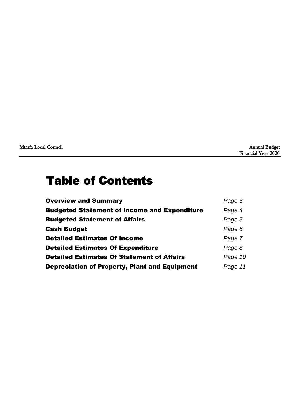| Mtarfa Local Council | <b>Annual Budget</b> |
|----------------------|----------------------|
|----------------------|----------------------|

### Table of Contents

| <b>Overview and Summary</b>                          | Page 3  |
|------------------------------------------------------|---------|
| <b>Budgeted Statement of Income and Expenditure</b>  | Page 4  |
| <b>Budgeted Statement of Affairs</b>                 | Page 5  |
| <b>Cash Budget</b>                                   | Page 6  |
| <b>Detailed Estimates Of Income</b>                  | Page 7  |
| <b>Detailed Estimates Of Expenditure</b>             | Page 8  |
| <b>Detailed Estimates Of Statement of Affairs</b>    | Page 10 |
| <b>Depreciation of Property, Plant and Equipment</b> | Page 11 |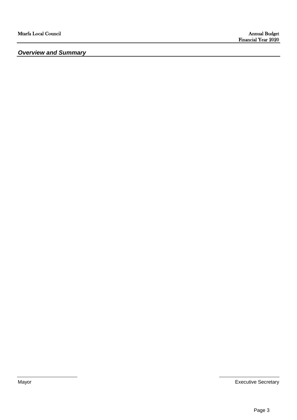*Overview and Summary*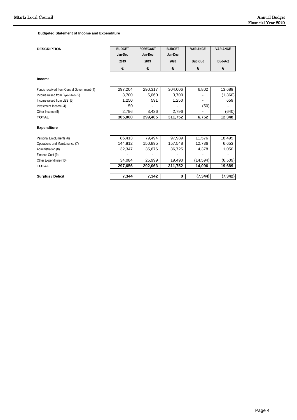**Budgeted Statement of Income and Expenditure** 

| <b>DESCRIPTION</b>                         | <b>BUDGET</b><br>Jan-Dec | <b>FORECAST</b><br>Jan-Dec | <b>BUDGET</b><br>Jan-Dec | <b>VARIANCE</b> | <b>VARIANCE</b> |
|--------------------------------------------|--------------------------|----------------------------|--------------------------|-----------------|-----------------|
|                                            | 2019                     | 2019                       | 2020                     | <b>Bud-Bud</b>  | <b>Bud-Act</b>  |
|                                            | €                        | €                          | €                        | €               | €               |
| <b>Income</b>                              |                          |                            |                          |                 |                 |
| Funds received from Central Government (1) | 297,204                  | 290,317                    | 304,006                  | 6,802           | 13,689          |
| Income raised from Bye-Laws (2)            | 3,700                    | 5,060                      | 3,700                    |                 | (1,360)         |
| Income raised from LES (3)                 | 1,250                    | 591                        | 1,250                    |                 | 659             |
| Investment Income (4)                      | 50                       |                            |                          | (50)            |                 |
| Other Income (5)                           | 2,796                    | 3,436                      | 2,796                    |                 | (640)           |
| <b>TOTAL</b>                               | 305,000                  | 299,405                    | 311,752                  | 6,752           | 12,348          |
| <b>Expenditure</b>                         |                          |                            |                          |                 |                 |
| Personal Emoluments (6)                    | 86,413                   | 79,494                     | 97,989                   | 11,576          | 18,495          |
| Operations and Maintenance (7)             | 144,812                  | 150,895                    | 157,548                  | 12,736          | 6,653           |
| Administration (8)                         | 32,347                   | 35,676                     | 36,725                   | 4,378           | 1,050           |
| Finance Cost (9)                           |                          |                            |                          |                 |                 |
| Other Expenditure (10)                     | 34,084                   | 25,999                     | 19,490                   | (14, 594)       | (6,509)         |
| <b>TOTAL</b>                               | 297,656                  | 292,063                    | 311,752                  | 14,096          | 19,689          |
| <b>Surplus / Deficit</b>                   | 7,344                    | 7,342                      | 0                        | (7, 344)        | (7, 342)        |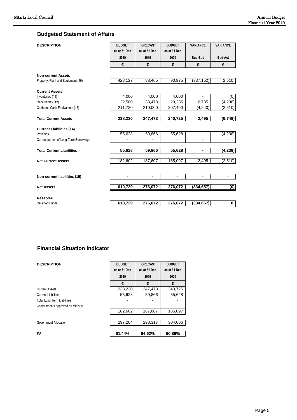Page 5

#### **Budgeted Statement of Affairs**

| <b>DESCRIPTION</b>                      | <b>BUDGET</b><br>as at 31 Dec<br>2019<br>€ | <b>FORECAST</b><br>as at 31 Dec<br>2019<br>€ | <b>BUDGET</b><br>as at 31 Dec<br>2020<br>€ | <b>VARIANCE</b><br><b>Bud-Bud</b><br>€ | <b>VARIANCE</b><br><b>Bud-Act</b><br>€ |
|-----------------------------------------|--------------------------------------------|----------------------------------------------|--------------------------------------------|----------------------------------------|----------------------------------------|
| <b>Non-current Assets</b>               |                                            |                                              |                                            |                                        |                                        |
| Property, Plant and Equipment (16)      | 428,127                                    | 88,465                                       | 90,975                                     | (337, 152)                             | 2,510                                  |
| <b>Current Assets</b>                   |                                            |                                              |                                            |                                        |                                        |
| Inventories (11)<br>Receivables (12)    | 4,000<br>22,500                            | 4,000<br>33,473                              | 4,000<br>29,235                            | 6,735                                  | (0)<br>(4, 238)                        |
| Cash and Cash Equivalents (13)          | 211,730                                    | 210,000                                      | 207,490                                    | (4,240)                                | (2,510)                                |
|                                         |                                            |                                              |                                            |                                        |                                        |
| <b>Total Current Assets</b>             | 238,230                                    | 247,473                                      | 240,725                                    | 2,495                                  | (6, 748)                               |
| <b>Current Liabilities (14)</b>         |                                            |                                              |                                            |                                        |                                        |
| Payables                                | 55,628                                     | 59,866                                       | 55,628                                     |                                        | (4,238)                                |
| Current portion of Long-Term Borrowings |                                            |                                              |                                            |                                        |                                        |
| <b>Total Current Liabilities</b>        | 55,628                                     | 59,866                                       | 55,628                                     | ۰                                      | (4, 238)                               |
|                                         |                                            |                                              |                                            |                                        |                                        |
| <b>Net Current Assets</b>               | 182,602                                    | 187,607                                      | 185,097                                    | 2,495                                  | (2, 510)                               |
|                                         |                                            |                                              |                                            |                                        |                                        |
| Non-current liabilities (15)            | $\blacksquare$                             | $\sim$                                       | $\overline{a}$                             | $\blacksquare$                         | ä,                                     |
| <b>Net Assets</b>                       | 610,729                                    | 276,072                                      | 276,072                                    | (334, 657)                             | (0)                                    |
| <b>Reserves</b>                         |                                            |                                              |                                            |                                        |                                        |
| <b>Retained Funds</b>                   | 610,729                                    | 276,072                                      | 276,072                                    | (334, 657)                             | 0                                      |

#### **Financial Situation Indicator**

| <b>DESCRIPTION</b>                 | <b>BUDGET</b><br>as at 31 Dec<br>2019 | <b>FORECAST</b><br>as at 31 Dec<br>2019 | <b>BUDGET</b><br>as at 31 Dec<br>2020 |
|------------------------------------|---------------------------------------|-----------------------------------------|---------------------------------------|
|                                    | €                                     | €                                       | €                                     |
| <b>Current Assets</b>              | 238,230                               | 247,473                                 | 240,725                               |
| <b>Current Liabilities</b>         | 55,628                                | 59,866                                  | 55,628                                |
| <b>Total Long Term Liabilities</b> |                                       |                                         |                                       |
| Commitments approved by Ministry   |                                       |                                         |                                       |
|                                    | 182,602                               | 187,607                                 | 185,097                               |
|                                    |                                       |                                         |                                       |
| Government Allocation              | 297,204                               | 290,317                                 | 304,006                               |
|                                    |                                       |                                         |                                       |
| FSI                                | 61.44%                                | 64.62%                                  | 60.89%                                |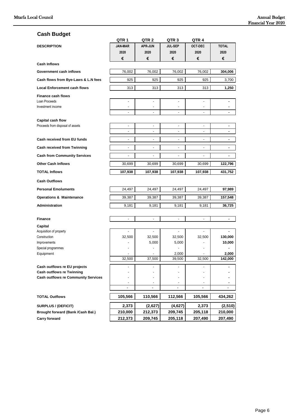#### **Cash Budget**

|                                                       | QTR <sub>1</sub> | QTR 2                    | QTR <sub>3</sub>         | QTR 4                    |              |
|-------------------------------------------------------|------------------|--------------------------|--------------------------|--------------------------|--------------|
| <b>DESCRIPTION</b>                                    | <b>JAN-MAR</b>   | <b>APR-JUN</b>           | <b>JUL-SEP</b>           | <b>OCT-DEC</b>           | <b>TOTAL</b> |
|                                                       | 2020             | 2020                     | 2020                     | 2020                     | 2020         |
|                                                       | €                | €                        | €                        | €                        | €            |
| <b>Cash Inflows</b>                                   |                  |                          |                          |                          |              |
| Government cash inflows                               | 76,002           | 76,002                   | 76,002                   | 76,002                   | 304,006      |
| Cash flows from Bye-Laws & L.N fees                   | 925              | 925                      | 925                      | 925                      | 3,700        |
| <b>Local Enforcement cash flows</b>                   | 313              | 313                      | 313                      | 313                      | 1,250        |
| <b>Finance cash flows</b>                             |                  |                          |                          |                          |              |
| Loan Proceeds                                         | $\frac{1}{2}$    | $\overline{a}$           | $\overline{\phantom{a}}$ | ٠                        | ٠            |
| Investment income                                     | $\blacksquare$   | $\overline{\phantom{a}}$ | $\overline{\phantom{a}}$ | $\overline{\phantom{a}}$ | ٠            |
|                                                       |                  |                          |                          |                          |              |
| Capital cash flow<br>Proceeds from disposal of assets | $\frac{1}{2}$    | ÷,                       | $\overline{\phantom{a}}$ | $\overline{\phantom{0}}$ | ٠            |
|                                                       | $\overline{a}$   | $\overline{\phantom{a}}$ | ٠                        | $\overline{\phantom{0}}$ | ٠            |
| Cash received from EU funds                           | $\overline{a}$   | $\overline{\phantom{a}}$ | $\overline{\phantom{a}}$ | $\overline{a}$           | ä,           |
| <b>Cash received from Twinning</b>                    | $\frac{1}{2}$    | $\overline{\phantom{a}}$ | $\frac{1}{2}$            | $\overline{\phantom{a}}$ | ۰            |
| <b>Cash from Community Services</b>                   | $\frac{1}{2}$    | $\overline{\phantom{a}}$ | $\overline{\phantom{a}}$ | $\overline{\phantom{a}}$ | ä,           |
| <b>Other Cash Inflows</b>                             | 30,699           | 30,699                   | 30,699                   | 30,699                   | 122,796      |
|                                                       | 107,938          |                          |                          |                          |              |
| <b>TOTAL Inflows</b>                                  |                  | 107,938                  | 107,938                  | 107,938                  | 431,752      |
| <b>Cash Outflows</b>                                  |                  |                          |                          |                          |              |
| <b>Personal Emoluments</b>                            | 24,497           | 24,497                   | 24,497                   | 24,497                   | 97,989       |
| <b>Operations &amp; Maintenance</b>                   | 39,387           | 39,387                   | 39,387                   | 39,387                   | 157,548      |
| Administration                                        | 9,181            | 9,181                    | 9,181                    | 9,181                    | 36,725       |
|                                                       |                  |                          |                          |                          |              |
| <b>Finance</b>                                        | ÷                |                          |                          |                          | ٠            |
| Capital                                               |                  |                          | $\overline{\phantom{a}}$ |                          |              |
| Acquisition of property<br>Construction               | 32,500           | 32,500                   | 32,500                   | 32,500                   | 130,000      |
| Improvements                                          |                  | 5,000                    | 5,000                    |                          | 10,000       |
| Special programmes                                    |                  |                          |                          |                          |              |
| Equipment                                             |                  |                          | 2,000                    |                          | 2,000        |
|                                                       | 32.500           | 37.500                   | 39.500                   | 32.500                   | 142.000      |
| Cash outflows re EU projects                          |                  |                          |                          |                          |              |
| <b>Cash outflows re Twinning</b>                      |                  |                          |                          |                          |              |
| <b>Cash outflows re Community Services</b>            |                  |                          |                          |                          |              |
|                                                       |                  | $\overline{\phantom{a}}$ | $\overline{\phantom{a}}$ |                          | ۰            |
|                                                       |                  |                          |                          |                          |              |
| <b>TOTAL Outflows</b>                                 | 105,566          | 110,566                  | 112,566                  | 105,566                  | 434,262      |
| <b>SURPLUS / (DEFICIT)</b>                            | 2,373            | (2,627)                  | (4,627)                  | 2,373                    | (2,510)      |
| Brought forward (Bank /Cash Bal.)                     | 210,000          | 212,373                  | 209,745                  | 205,118                  | 210,000      |
| <b>Carry forward</b>                                  | 212,373          | 209,745                  | 205,118                  | 207,490                  | 207,490      |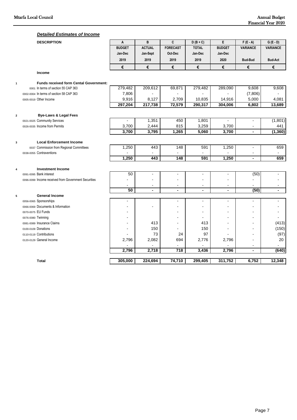#### *Detailed Estimates of Income*

|                         | <b>DESCRIPTION</b>                                   | A              | B              | C                | $D(B+C)$       | E              | $F(E - A)$               | $G(E - D)$      |
|-------------------------|------------------------------------------------------|----------------|----------------|------------------|----------------|----------------|--------------------------|-----------------|
|                         |                                                      | <b>BUDGET</b>  | <b>ACTUAL</b>  | <b>FORECAST</b>  | <b>TOTAL</b>   | <b>BUDGET</b>  | <b>VARIANCE</b>          | <b>VARIANCE</b> |
|                         |                                                      | Jan-Dec        | Jan-Sept       | Oct-Dec          | Jan-Dec        | Jan-Dec        |                          |                 |
|                         |                                                      | 2019           | 2019           | 2019             | 2019           | 2020           | <b>Bud-Bud</b>           | <b>Bud-Act</b>  |
|                         |                                                      | €              | €              | €                | €              | €              | €                        | €               |
|                         | <b>Income</b>                                        |                |                |                  |                |                |                          |                 |
| $\mathbf{1}$            | <b>Funds received form Cental Government:</b>        |                |                |                  |                |                |                          |                 |
|                         | 0001 In terms of section 55 CAP 363                  | 279,482        | 209,612        | 69,871           | 279,482        | 289,090        | 9,608                    | 9,608           |
|                         | 0002-0004 In terms of section 58 CAP 363             | 7,806          |                |                  |                |                | (7,806)                  |                 |
|                         | 0005-0019 Other Income                               | 9,916          | 8,127          | 2,709            | 10,835         | 14,916         | 5,000                    | 4,081           |
|                         |                                                      | 297,204        | 217,738        | 72,579           | 290,317        | 304,006        | 6,802                    | 13,689          |
| $\overline{\mathbf{2}}$ | <b>Bye-Laws &amp; Legal Fees</b>                     |                |                |                  |                |                |                          |                 |
|                         | 0021-0025 Community Services                         |                | 1,351          | 450              | 1,801          |                |                          | (1,801)         |
|                         | 0026-0035 Income from Permits                        | 3,700          | 2,444          | 815              | 3,259          | 3,700          |                          | 441             |
|                         |                                                      | 3,700          | 3,795          | 1,265            | 5,060          | 3,700          | $\blacksquare$           | (1, 360)        |
| 3                       | <b>Local Enforcement Income</b>                      |                |                |                  |                |                |                          |                 |
|                         | 0037 Commission from Regional Committees             | 1,250          | 443            | 148              | 591            | 1,250          |                          | 659             |
|                         | 0038-0055 Contraventions                             |                |                |                  |                |                |                          |                 |
|                         |                                                      | 1,250          | 443            | $\overline{148}$ | 591            | 1,250          | $\overline{\phantom{a}}$ | 659             |
|                         | <b>Investment Income</b>                             |                |                |                  |                |                |                          |                 |
| $\overline{\mathbf{4}}$ | 0091-0095 Bank interest                              | 50             | $\blacksquare$ | $\blacksquare$   | $\sim$         | $\sim$         | (50)                     | $\blacksquare$  |
|                         | 0096-0099 Income received from Government Securities |                |                |                  |                |                |                          |                 |
|                         |                                                      |                | $\overline{a}$ |                  | $\blacksquare$ |                |                          |                 |
|                         |                                                      | 50             | $\blacksquare$ | $\blacksquare$   | $\blacksquare$ | $\blacksquare$ | (50)                     | $\blacksquare$  |
| 5                       | <b>General Income</b>                                |                |                |                  |                |                |                          |                 |
|                         | 0056-0065 Sponsorships                               |                |                |                  | ä,             |                |                          |                 |
|                         | 0066-0069 Documents & Information                    | $\blacksquare$ | $\overline{a}$ | $\blacksquare$   |                |                |                          |                 |
|                         | 0070-0075 EU Funds                                   |                |                |                  | $\blacksquare$ |                |                          |                 |
|                         | 0076-0080 Twinning                                   |                |                |                  |                |                | $\blacksquare$           |                 |
|                         | 0081-0089 Insurance Claims                           | $\blacksquare$ | 413            | $\blacksquare$   | 413            |                | $\overline{a}$           | (413)           |
|                         | 0100-0109 Donations                                  |                | 150            | ä,               | 150            |                |                          | (150)           |
|                         | 0110-0119 Contributions                              |                | 73             | 24               | 97             |                | $\sim$                   | (97)            |
|                         | 0120-0129 General Income                             | 2,796          | 2,082          | 694              | 2,776          | 2,796          | $\overline{\phantom{a}}$ | 20              |
|                         |                                                      |                |                |                  |                |                |                          |                 |
|                         |                                                      | 2,796          | 2,718          | 718              | 3,436          | 2,796          | $\overline{\phantom{a}}$ | (640)           |
|                         | <b>Total</b>                                         | 305,000        | 224,694        | 74,710           | 299,405        | 311,752        | 6,752                    | 12,348          |
|                         |                                                      |                |                |                  |                |                |                          |                 |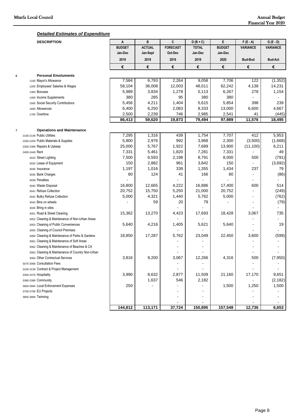#### *Detailed Estimates of Expenditure*

|                          | <b>DESCRIPTION</b>                               | A             | B             | C               | $D(B+C)$     | E             | $F(E - A)$               | $G(E - D)$      |
|--------------------------|--------------------------------------------------|---------------|---------------|-----------------|--------------|---------------|--------------------------|-----------------|
|                          |                                                  | <b>BUDGET</b> | <b>ACTUAL</b> | <b>FORECAST</b> | <b>TOTAL</b> | <b>BUDGET</b> | <b>VARIANCE</b>          | <b>VARIANCE</b> |
|                          |                                                  | Jan-Dec       | Jan-Sept      | Oct-Dec         | Jan-Dec      | Jan-Dec       |                          |                 |
|                          |                                                  | 2019          | 2019          | 2019            | 2019         | 2020          | <b>Bud-Bud</b>           | <b>Bud-Act</b>  |
|                          |                                                  | €             | €             | €               | €            | €             | €                        | €               |
|                          | <b>Personal Emoluments</b>                       |               |               |                 |              |               |                          |                 |
| 6                        | 1100 Mayor's Allowance                           | 7,584         | 6,793         | 2,264           | 9,058        | 7,706         | 122                      | (1, 352)        |
|                          | 1200 Employees' Salaries & Wages                 | 58,104        | 36,008        | 12,003          | 48,011       | 62,242        | 4,138                    | 14,231          |
|                          | 1300 Bonuses                                     | 5,989         | 3,834         | 1,278           | 5,113        | 6,267         | 278                      | 1,154           |
|                          | 1400 Income Supplements                          | 380           | 285           | 95              | 380          | 380           |                          |                 |
|                          | 1500 Social Security Contributions               | 5,456         | 4,211         | 1,404           | 5,615        | 5,854         | 398                      | 239             |
|                          | 1600 Allowances                                  | 6,400         | 6,250         | 2,083           | 8,333        | 13,000        | 6,600                    | 4,667           |
|                          | 1700 Overtime                                    | 2,500         | 2,239         | 746             | 2,985        | 2,541         | 41                       | (445)           |
|                          |                                                  | 86,413        | 59,620        | 19,873          | 79,494       | 97,989        | 11,576                   | 18,495          |
|                          |                                                  |               |               |                 |              |               |                          |                 |
| $\overline{\phantom{a}}$ | <b>Operations and Maintenance</b>                |               |               |                 |              |               |                          |                 |
|                          | 2100-2149 Public Utilities                       | 7,295         | 1,316         | 439             | 1,754        | 7,707         | 412                      | 5,953           |
|                          | 2200-2259 Public Materials & Supplies            | 5,800         | 2,976         | 992             | 3,968        | 2,300         | (3,500)                  | (1,668)         |
|                          | 2300-2399 Repairs & Upkeep                       | 25,000        | 5,767         | 1,922           | 7,689        | 13,900        | (11, 100)                | 6,211           |
|                          | 2400-2449 Rent                                   | 7,331         | 5,461         | 1,820           | 7,281        | 7,331         |                          | 49              |
|                          | 3010 Street Lighting                             | 7,500         | 6,593         | 2,198           | 8,791        | 8,000         | 500                      | (791)           |
|                          | 3020 Lease of Equipment                          | 150           | 2,882         | 961             | 3,842        | 150           |                          | (3,692)         |
|                          | 3030 Insurance                                   | 1,197         | 1,016         | 339             | 1,355        | 1,434         | 237                      | 79              |
|                          | 3035 Bank Charges                                | 80            | 124           | 41              | 166          | 80            |                          | (86)            |
|                          | 3038 Penalties                                   |               |               |                 |              |               |                          |                 |
|                          | 3040 Waste Disposal                              | 16,800        | 12,665        | 4,222           | 16,886       | 17,400        | 600                      | 514             |
|                          | 3041 Refuse Collection                           | 20,752        | 15,750        | 5,250           | 21,000       | 20,752        |                          | (249)           |
|                          | 3042 Bulky Refuse Collection                     | 5,000         | 4,321         | 1,440           | 5,762        | 5,000         |                          | (762)           |
|                          | 3043 Bins on wheels                              |               | 59            | 20              | 79           |               |                          | (79)            |
|                          | 3045 Bring in sites                              |               |               |                 |              |               |                          |                 |
|                          | 3051 Road & Street Cleaning                      | 15,362        | 13,270        | 4,423           | 17,693       | 18,428        | 3,067                    | 735             |
|                          | 3052 Cleaning & Maintenance of Non-Urban Areas   |               |               |                 |              |               |                          |                 |
|                          | 3053 Cleaning of Public Conveniences             | 5,640         | 4,216         | 1,405           | 5,621        | 5,640         | $\overline{\phantom{a}}$ | 19              |
|                          | 3055 Cleaning of Council Premises                |               |               |                 |              |               |                          |                 |
|                          | 3060 Cleaning & Maintenance of Parks & Gardens   | 18,850        | 17,287        | 5,762           | 23,049       | 22,450        | 3,600                    | (599)           |
|                          | 3061 Cleaning & Maintenance of Soft Areas        |               |               |                 |              |               |                          |                 |
|                          | 3062 Cleaning & Maintenance of Beaches & CA      |               |               |                 |              |               | $\sim$                   |                 |
|                          | 3063 Cleaning & Maintenance of Country Non-Urban |               |               |                 |              |               |                          |                 |
|                          | 3064 Other Contractual Services                  | 3,816         | 9,200         | 3,067           | 12,266       | 4,316         | 500                      | (7,950)         |
|                          | 3070-3090 Consultation Fees                      |               |               |                 |              |               |                          |                 |
|                          | 3100-3139 Contract & Project Management          |               |               |                 |              |               |                          |                 |
|                          | 3300-3379 Hospitality                            | 3,990         | 8,632         | 2,877           | 11,509       | 21,160        | 17,170                   | 9,651           |
|                          | 3380-3389 Community                              |               | 1,637         | 546             | 2,182        |               |                          | (2, 182)        |
|                          | 3600-3694 Local Enforcement Expenses             | 250           |               |                 |              | 1,500         | 1,250                    | 1,500           |
|                          | 3700-3799 EU Projects                            |               |               |                 |              |               |                          |                 |
|                          | 3800-3899 Twinning                               |               |               |                 |              |               |                          |                 |
|                          |                                                  |               |               |                 |              |               |                          |                 |
|                          |                                                  | 144,812       | 113,171       | 37,724          | 150,895      | 157,548       | 12,736                   | 6,653           |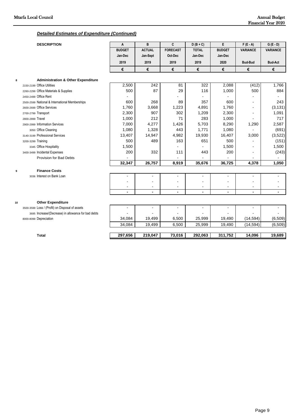#### *Detailed Estimates of Expenditure (Continued)*

|    | <b>DESCRIPTION</b>                                  | A                        | B                | C               | $D(B+C)$     | E              | $F(E - A)$      | $G(E - D)$      |
|----|-----------------------------------------------------|--------------------------|------------------|-----------------|--------------|----------------|-----------------|-----------------|
|    |                                                     | <b>BUDGET</b>            | <b>ACTUAL</b>    | <b>FORECAST</b> | <b>TOTAL</b> | <b>BUDGET</b>  | <b>VARIANCE</b> | <b>VARIANCE</b> |
|    |                                                     | Jan-Dec                  | Jan-Sept         | Oct-Dec         | Jan-Dec      | Jan-Dec        |                 |                 |
|    |                                                     | 2019                     | 2019             | 2019            | 2019         | 2020           | <b>Bud-Bud</b>  | <b>Bud-Act</b>  |
|    |                                                     | €                        | €                | €               | €            | €              | €               | €               |
| 8  | <b>Administration &amp; Other Expenditure</b>       |                          |                  |                 |              |                |                 |                 |
|    | 2150-2199 Office Utilities                          | 2,500                    | $\overline{242}$ | 81              | 322          | 2,088          | (412)           | 1,766           |
|    | 2260-2299 Office Materials & Supplies               | 500                      | 87               | 29              | 116          | 1,000          | 500             | 884             |
|    | 2450-2499 Office Rent                               |                          |                  |                 |              |                |                 |                 |
|    | 2500-2599 National & International Memberships      | 600                      | 268              | 89              | 357          | 600            |                 | 243             |
|    | 2600-2699 Office Services                           | 1,760                    | 3,668            | 1,223           | 4,891        | 1,760          | ÷               | (3, 131)        |
|    | 2700-2799 Transport                                 | 2,300                    | 907              | 302             | 1,209        | 2,300          | ÷               | 1,091           |
|    | 2800-2899 Travel                                    | 1,000                    | 212              | 71              | 283          | 1,000          |                 | 717             |
|    | 2900-2999 Information Services                      | 7,000                    | 4,277            | 1,426           | 5,703        | 8,290          | 1,290           | 2,587           |
|    | 3050 Office Cleaning                                | 1,080                    | 1,328            | 443             | 1,771        | 1,080          |                 | (691)           |
|    | 3140-3199 Professional Services                     | 13,407                   | 14,947           | 4,982           | 19,930       | 16,407         | 3,000           | (3, 522)        |
|    | 3200-3299 Training                                  | 500                      | 489              | 163             | 651          | 500            |                 | (151)           |
|    | 3345 Office Hospitality                             | 1,500                    |                  |                 |              | 1,500          | $\overline{a}$  | 1,500           |
|    | 3400-3499 Incidental Expenses                       | 200                      | 332              | 111             | 443          | 200            | $\overline{a}$  | (243)           |
|    | Provision for Bad Debts                             |                          |                  |                 |              |                |                 |                 |
|    |                                                     | 32,347                   | 26,757           | 8,919           | 35,676       | 36,725         | 4,378           | 1,050           |
| 9  | <b>Finance Costs</b>                                |                          |                  |                 |              |                |                 |                 |
|    | 3036 Interest on Bank Loan                          |                          |                  |                 |              |                |                 |                 |
|    |                                                     |                          |                  |                 |              |                |                 |                 |
|    |                                                     |                          |                  |                 |              |                |                 |                 |
|    |                                                     | $\overline{\phantom{0}}$ | $\blacksquare$   | $\blacksquare$  | ۰.           | $\blacksquare$ | $\blacksquare$  | ۰               |
| 10 | <b>Other Expenditure</b>                            |                          |                  |                 |              |                |                 |                 |
|    | 3500-3599 Loss / (Profit) on Disposal of assets     | ä,                       | $\blacksquare$   |                 |              | $\blacksquare$ | $\sim$          |                 |
|    | 3695 Increase/(Decrease) in allowance for bad debts |                          |                  |                 |              |                |                 |                 |
|    | 8000-8099 Depreciation                              | 34,084                   | 19,499           | 6,500           | 25,999       | 19,490         | (14, 594)       | (6, 509)        |
|    |                                                     | 34,084                   | 19,499           | 6,500           | 25,999       | 19,490         | (14, 594)       | (6, 509)        |
|    |                                                     |                          |                  |                 |              |                |                 |                 |
|    | Total                                               | 297,656                  | 219,047          | 73,016          | 292,063      | 311,752        | 14,096          | 19,689          |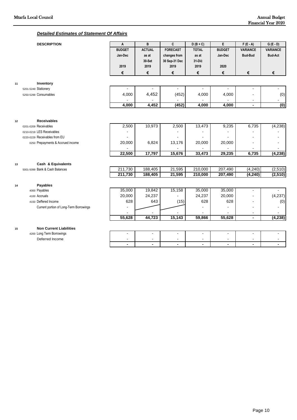#### *Detailed Estimates of Statement Of Affairs*

|    | <b>DESCRIPTION</b>                      | A              | B              | C               | $D(B+C)$       | E                        | $F(E - A)$      | $G(E - D)$               |
|----|-----------------------------------------|----------------|----------------|-----------------|----------------|--------------------------|-----------------|--------------------------|
|    |                                         | <b>BUDGET</b>  | <b>ACTUAL</b>  | <b>FORECAST</b> | <b>TOTAL</b>   | <b>BUDGET</b>            | <b>VARIANCE</b> | <b>VARIANCE</b>          |
|    |                                         | Jan-Dec        | as at          | changes from    | as at          | Jan-Dec                  | <b>Bud-Bud</b>  | <b>Bud-Act</b>           |
|    |                                         |                | 30-Set         | 30 Sep-31 Dec   | 31-Diċ         |                          |                 |                          |
|    |                                         | 2019           | 2019           | 2019            | 2019           | 2020                     |                 |                          |
|    |                                         | €              | €              | €               | €              | €                        | €               | €                        |
| 11 | Inventory                               |                |                |                 |                |                          |                 |                          |
|    | 5201-5249 Stationery                    |                |                | $\blacksquare$  |                |                          | $\blacksquare$  |                          |
|    | 5250-5299 Consumables                   | 4,000          | 4,452          | (452)           | 4,000          | 4,000                    |                 | (0)                      |
|    |                                         |                |                |                 |                |                          |                 |                          |
|    |                                         | 4,000          | 4,452          | (452)           | 4,000          | 4,000                    | $\blacksquare$  | (0)                      |
|    |                                         |                |                |                 |                |                          |                 |                          |
| 12 | <b>Receivables</b>                      |                |                |                 |                |                          |                 |                          |
|    | 0201-0209 Receivables                   | 2,500          | 10,973         | 2,500           | 13,473         | 9,235                    | 6,735           | (4,238)                  |
|    | 0210-0219 LES Receivables               |                |                |                 |                |                          |                 |                          |
|    | 0220-0229 Receivables from EU           |                |                |                 |                |                          |                 |                          |
|    | 0250 Prepayments & Accrued income       | 20,000         | 6,824          | 13,176          | 20,000         | 20,000                   |                 |                          |
|    |                                         |                |                |                 |                |                          |                 |                          |
|    |                                         | 22,500         | 17,797         | 15,676          | 33,473         | 29,235                   | 6,735           | (4, 238)                 |
| 13 | Cash & Equivalents                      |                |                |                 |                |                          |                 |                          |
|    | 5001-5099 Bank & Cash Balances          | 211,730        | 188,405        | 21,595          | 210,000        | 207,490                  | (4, 240)        | (2, 510)                 |
|    |                                         | 211,730        | 188,405        | 21,595          | 210,000        | 207,490                  | (4, 240)        | (2, 510)                 |
| 14 | <b>Payables</b>                         |                |                |                 |                |                          |                 |                          |
|    | 4000 Payables                           | 35,000         | 19,842         | 15,158          | 35,000         | 35,000                   | $\blacksquare$  |                          |
|    | 4100 Accruals                           | 20,000         | 24,237         |                 | 24,237         | 20,000                   | $\blacksquare$  | (4, 237)                 |
|    | 4150 Deffered Income                    | 628            | 643            | (15)            | 628            | 628                      | $\blacksquare$  | (0)                      |
|    | Current portion of Long-Term Borrowings |                |                |                 |                |                          |                 |                          |
|    |                                         |                |                |                 |                |                          |                 |                          |
|    |                                         | 55,628         | 44,723         | 15,143          | 59,866         | 55,628                   | L,              | (4, 238)                 |
| 15 | <b>Non Current Liabilities</b>          |                |                |                 |                |                          |                 |                          |
|    | 4200 Long Term Borrowings               | $\blacksquare$ | $\blacksquare$ | $\blacksquare$  | $\sim$         | $\blacksquare$           | $\blacksquare$  | $\blacksquare$           |
|    | Deferred Income                         |                |                |                 |                | $\overline{\phantom{a}}$ | $\blacksquare$  | $\blacksquare$           |
|    |                                         | $\blacksquare$ | $\blacksquare$ | $\blacksquare$  | $\blacksquare$ | $\blacksquare$           | $\blacksquare$  | $\overline{\phantom{a}}$ |